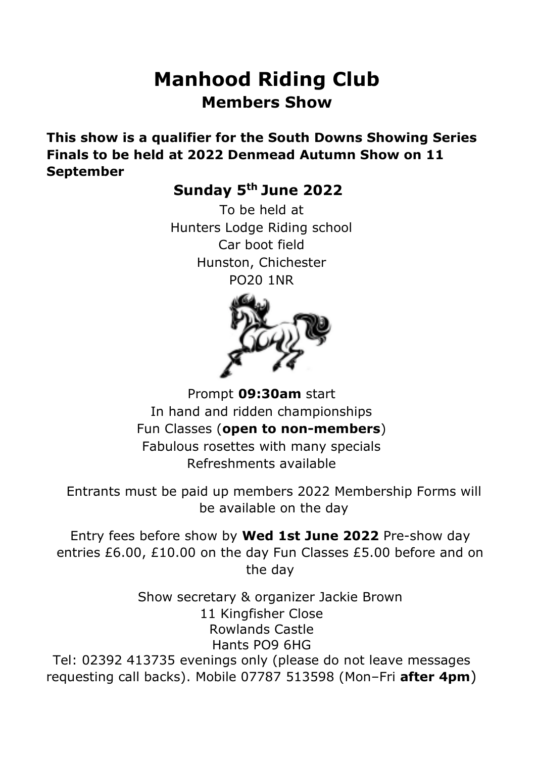# **Manhood Riding Club Members Show**

**This show is a qualifier for the South Downs Showing Series Finals to be held at 2022 Denmead Autumn Show on 11 September**

**Sunday 5 th June 2022**

To be held at Hunters Lodge Riding school Car boot field Hunston, Chichester PO20 1NR



Prompt **09:30am** start In hand and ridden championships Fun Classes (**open to non-members**) Fabulous rosettes with many specials Refreshments available

Entrants must be paid up members 2022 Membership Forms will be available on the day

Entry fees before show by **Wed 1st June 2022** Pre-show day entries £6.00, £10.00 on the day Fun Classes £5.00 before and on the day

Show secretary & organizer Jackie Brown 11 Kingfisher Close Rowlands Castle Hants PO9 6HG Tel: 02392 413735 evenings only (please do not leave messages requesting call backs). Mobile 07787 513598 (Mon–Fri **after 4pm**)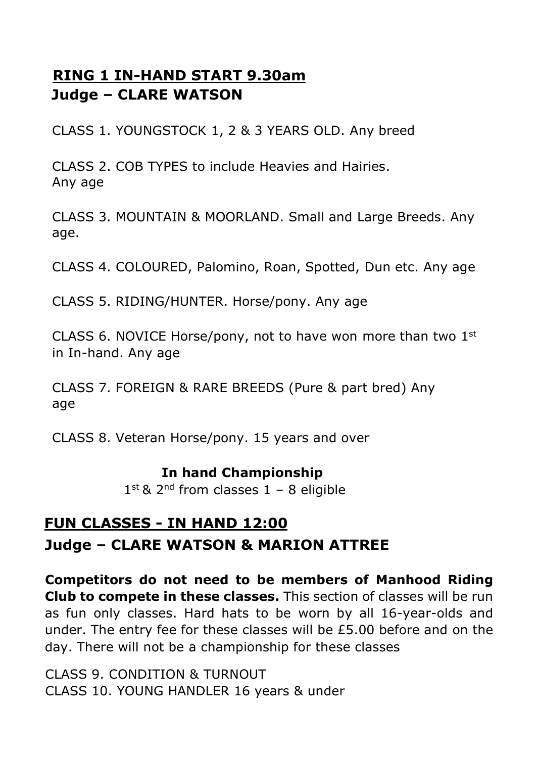## **RING 1 IN-HAND START 9.30am Judge – CLARE WATSON**

CLASS 1. YOUNGSTOCK 1, 2 & 3 YEARS OLD. Any breed

CLASS 2. COB TYPES to include Heavies and Hairies. Any age

CLASS 3. MOUNTAIN & MOORLAND. Small and Large Breeds. Any age.

CLASS 4. COLOURED, Palomino, Roan, Spotted, Dun etc. Any age

CLASS 5. RIDING/HUNTER. Horse/pony. Any age

CLASS 6. NOVICE Horse/pony, not to have won more than two  $1<sup>st</sup>$ in In-hand. Any age

CLASS 7. FOREIGN & RARE BREEDS (Pure & part bred) Any age

CLASS 8. Veteran Horse/pony. 15 years and over

#### **In hand Championship**

 $1<sup>st</sup>$  & 2<sup>nd</sup> from classes  $1 - 8$  eligible

## **FUN CLASSES - IN HAND 12:00 Judge – CLARE WATSON & MARION ATTREE**

**Competitors do not need to be members of Manhood Riding Club to compete in these classes.** This section of classes will be run as fun only classes. Hard hats to be worn by all 16-year-olds and under. The entry fee for these classes will be £5.00 before and on the day. There will not be a championship for these classes

CLASS 9. CONDITION & TURNOUT CLASS 10. YOUNG HANDLER 16 years & under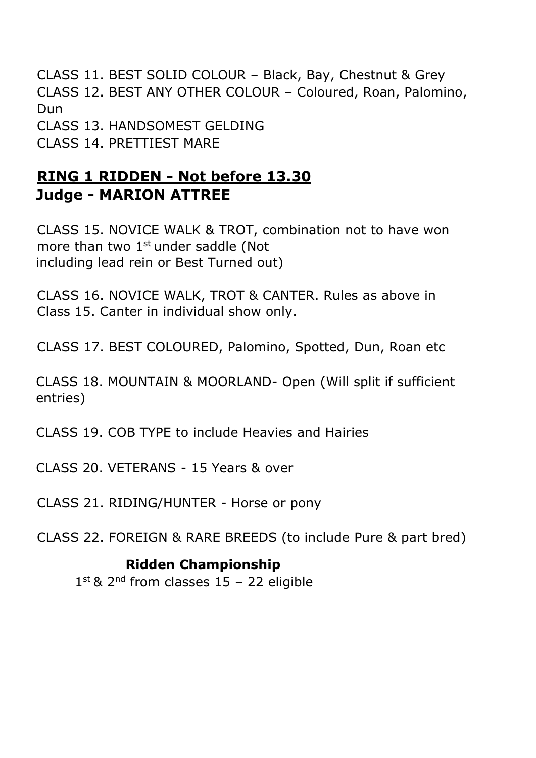CLASS 11. BEST SOLID COLOUR – Black, Bay, Chestnut & Grey CLASS 12. BEST ANY OTHER COLOUR – Coloured, Roan, Palomino, Dun CLASS 13. HANDSOMEST GELDING CLASS 14. PRETTIEST MARE

### **RING 1 RIDDEN - Not before 13.30 Judge - MARION ATTREE**

CLASS 15. NOVICE WALK & TROT, combination not to have won more than two 1<sup>st</sup> under saddle (Not including lead rein or Best Turned out)

CLASS 16. NOVICE WALK, TROT & CANTER. Rules as above in Class 15. Canter in individual show only.

CLASS 17. BEST COLOURED, Palomino, Spotted, Dun, Roan etc

CLASS 18. MOUNTAIN & MOORLAND- Open (Will split if sufficient entries)

CLASS 19. COB TYPE to include Heavies and Hairies

CLASS 20. VETERANS - 15 Years & over

CLASS 21. RIDING/HUNTER - Horse or pony

CLASS 22. FOREIGN & RARE BREEDS (to include Pure & part bred)

#### **Ridden Championship**

1<sup>st & 2nd</sup> from classes 15 - 22 eligible